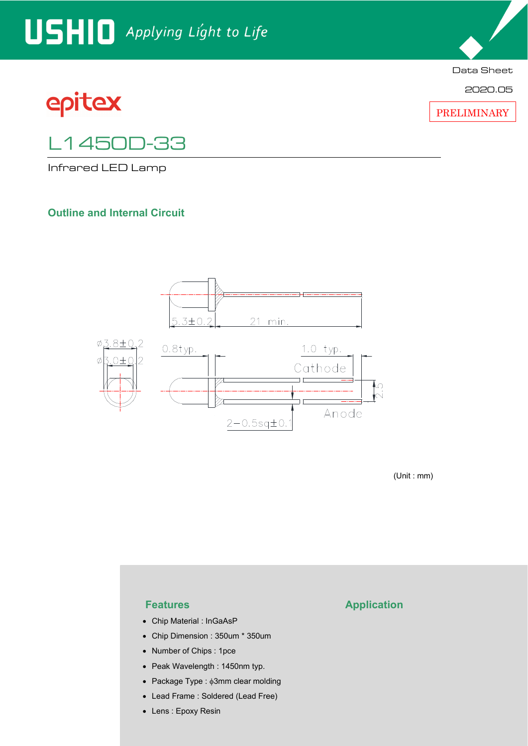# USHIO Applying Light to Life





2020.05

PRELIMINARY

# L1450D-33

Infrared LED Lamp

#### **Outline and Internal Circuit**



(Unit : mm)

- Chip Material : InGaAsP
- Chip Dimension : 350um \* 350um
- Number of Chips : 1pce
- Peak Wavelength : 1450nm typ.
- Package Type :  $\phi$ 3mm clear molding
- Lead Frame : Soldered (Lead Free)
- Lens : Epoxy Resin

#### **Features Application**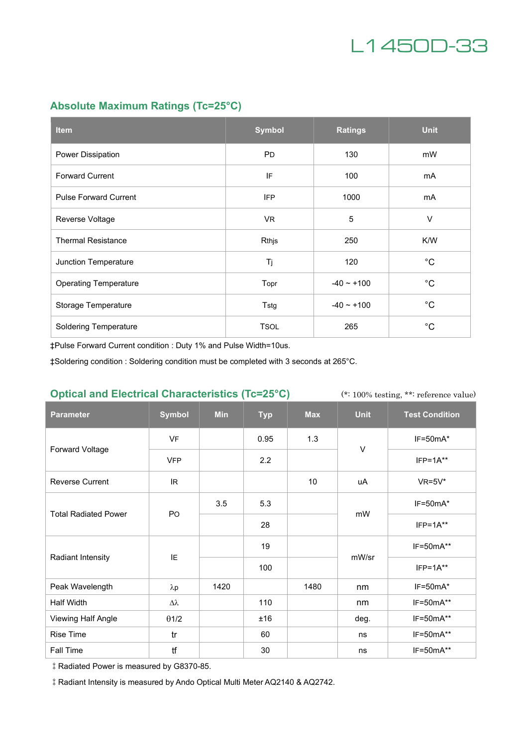

### **Absolute Maximum Ratings (Tc=25°C)**

| <b>Item</b>                  | <b>Symbol</b> | <b>Ratings</b>  | <b>Unit</b>  |
|------------------------------|---------------|-----------------|--------------|
| Power Dissipation            | <b>PD</b>     | 130             | mW           |
| <b>Forward Current</b>       | IF            | 100             | mA           |
| <b>Pulse Forward Current</b> | <b>IFP</b>    | 1000            | mA           |
| Reverse Voltage              | VR.           | 5               | $\vee$       |
| <b>Thermal Resistance</b>    | Rthjs         | 250             | K/W          |
| Junction Temperature         | Tj            | 120             | $^{\circ}$ C |
| <b>Operating Temperature</b> | Topr          | $-40 \sim +100$ | $^{\circ}$ C |
| Storage Temperature          | Tstg          | $-40 \sim +100$ | $^{\circ}C$  |
| <b>Soldering Temperature</b> | <b>TSOL</b>   | 265             | $^{\circ}C$  |

‡Pulse Forward Current condition : Duty 1% and Pulse Width=10us.

‡Soldering condition : Soldering condition must be completed with 3 seconds at 265°C.

#### **Optical and Electrical Characteristics (Tc=25°C)**

(\*: 100% testing, \*\*: reference value)

| <b>Parameter</b>            | <b>Symbol</b> | <b>Min</b> | <b>Typ</b> | <b>Max</b>      | <b>Unit</b> | <b>Test Condition</b> |
|-----------------------------|---------------|------------|------------|-----------------|-------------|-----------------------|
| Forward Voltage             | <b>VF</b>     |            | 0.95       | 1.3             | $\vee$      | $IF=50mA*$            |
|                             | <b>VFP</b>    |            | 2.2        |                 |             | $IFP=1A**$            |
| <b>Reverse Current</b>      | IR.           |            |            | 10 <sup>1</sup> | uA          | $VR=5V^*$             |
| <b>Total Radiated Power</b> | PO            | 3.5        | 5.3        |                 | mW          | $IF=50mA*$            |
|                             |               |            | 28         |                 |             | $IFP=1A**$            |
| Radiant Intensity           | IE            |            | 19         |                 | mW/sr       | IF=50mA**             |
|                             |               |            | 100        |                 |             | $IFP=1A**$            |
| Peak Wavelength             | $\lambda p$   | 1420       |            | 1480            | nm          | IF=50mA*              |
| Half Width                  | Δλ            |            | 110        |                 | nm          | $IF=50mA**$           |
| Viewing Half Angle          | $\theta$ 1/2  |            | ±16        |                 | deg.        | $IF=50mA**$           |
| Rise Time                   | tr            |            | 60         |                 | ns          | IF=50mA**             |
| Fall Time                   | tf            |            | 30         |                 | ns          | IF=50mA**             |

‡Radiated Power is measured by G8370-85.

‡Radiant Intensity is measured by Ando Optical Multi Meter AQ2140 & AQ2742.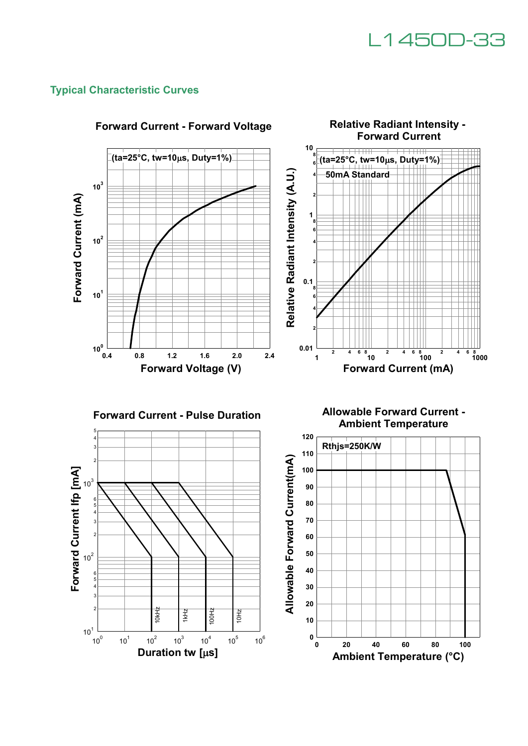

#### **Typical Characteristic Curves**

 $10^{1}$ 

 $10<sup>0</sup>$ 

 $10^{1}$ 

 $10^{2}$ 

 $10^{3}$ 

 $\frac{1}{2}$   $\frac{1}{2}$   $\frac{1}{2}$   $\frac{1}{2}$   $\frac{1}{2}$ <br>
10<sup>2</sup> 10<sup>3</sup> 10<sup>4</sup><br>
Duration tw [µs]

 $10<sup>4</sup>$ 

 $10^5$ 

10Hz





**Ambient Temperature (°C)**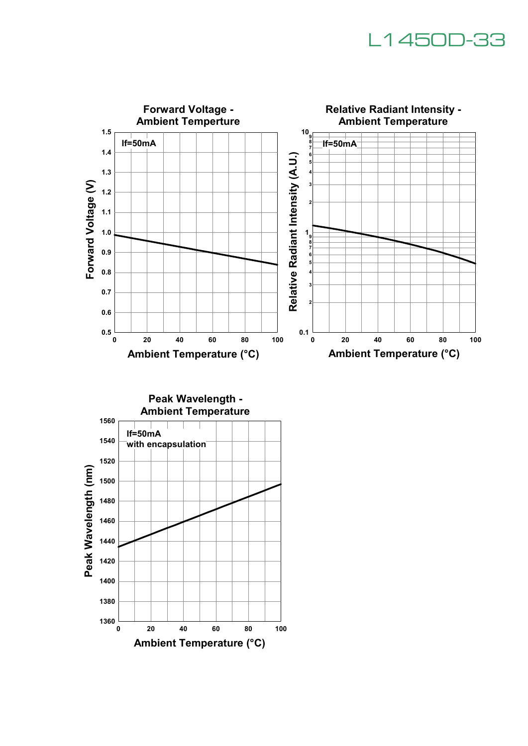# L1450D-33



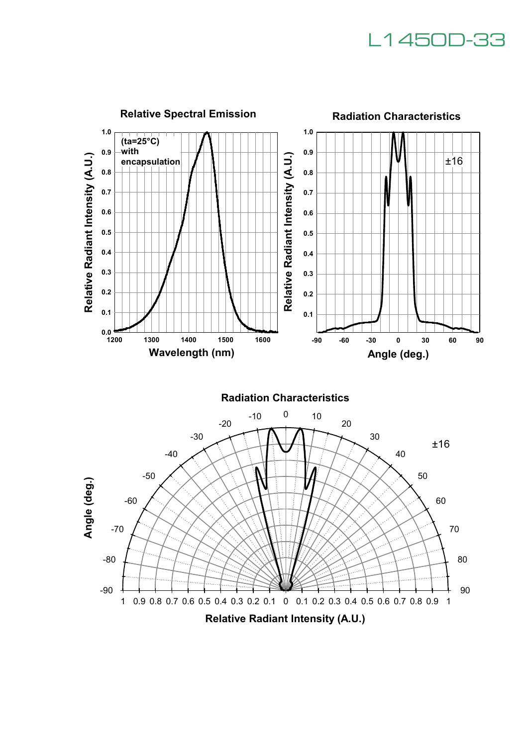# L1450D-33